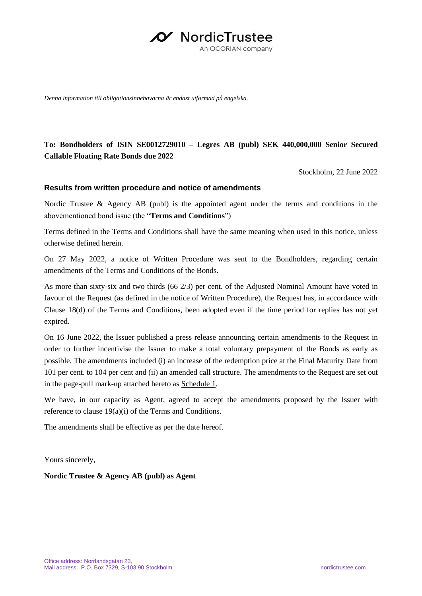

*Denna information till obligationsinnehavarna är endast utformad på engelska.*

# **To: Bondholders of ISIN SE0012729010 – Legres AB (publ) SEK 440,000,000 Senior Secured Callable Floating Rate Bonds due 2022**

Stockholm, 22 June 2022

#### **Results from written procedure and notice of amendments**

Nordic Trustee & Agency AB (publ) is the appointed agent under the terms and conditions in the abovementioned bond issue (the "**Terms and Conditions**")

Terms defined in the Terms and Conditions shall have the same meaning when used in this notice, unless otherwise defined herein.

On 27 May 2022, a notice of Written Procedure was sent to the Bondholders, regarding certain amendments of the Terms and Conditions of the Bonds.

As more than sixty-six and two thirds (66 2/3) per cent. of the Adjusted Nominal Amount have voted in favour of the Request (as defined in the notice of Written Procedure), the Request has, in accordance with Clause 18(d) of the Terms and Conditions, been adopted even if the time period for replies has not yet expired.

On 16 June 2022, the Issuer published a press release announcing certain amendments to the Request in order to further incentivise the Issuer to make a total voluntary prepayment of the Bonds as early as possible. The amendments included (i) an increase of the redemption price at the Final Maturity Date from 101 per cent. to 104 per cent and (ii) an amended call structure. The amendments to the Request are set out in the page-pull mark-up attached hereto as Schedule 1.

We have, in our capacity as Agent, agreed to accept the amendments proposed by the Issuer with reference to clause 19(a)(i) of the Terms and Conditions.

The amendments shall be effective as per the date hereof.

Yours sincerely,

**Nordic Trustee & Agency AB (publ) as Agent**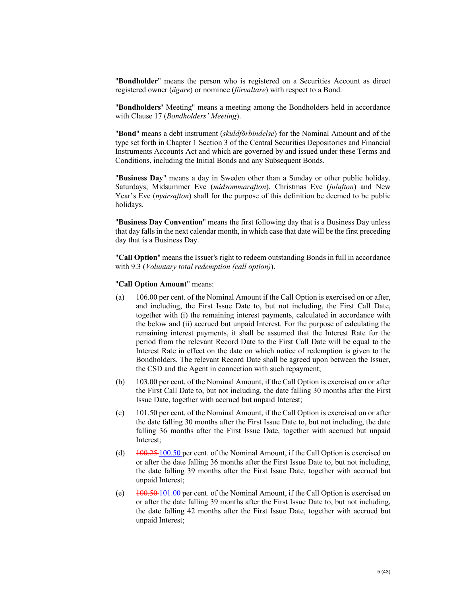"**Bondholder**" means the person who is registered on a Securities Account as direct registered owner (*ägare*) or nominee (*förvaltare*) with respect to a Bond.

"**Bondholders'** Meeting" means a meeting among the Bondholders held in accordance with Clause 17 (*Bondholders' Meeting*).

"**Bond**" means a debt instrument (*skuldförbindelse*) for the Nominal Amount and of the type set forth in Chapter 1 Section 3 of the Central Securities Depositories and Financial Instruments Accounts Act and which are governed by and issued under these Terms and Conditions, including the Initial Bonds and any Subsequent Bonds.

"**Business Day**" means a day in Sweden other than a Sunday or other public holiday. Saturdays, Midsummer Eve (*midsommarafton*), Christmas Eve (*julafton*) and New Year's Eve (*nyårsafton*) shall for the purpose of this definition be deemed to be public holidays.

"**Business Day Convention**" means the first following day that is a Business Day unless that day falls in the next calendar month, in which case that date will be the first preceding day that is a Business Day.

"**Call Option**" means the Issuer's right to redeem outstanding Bonds in full in accordance with 9.3 (*Voluntary total redemption (call option)*).

#### "**Call Option Amount**" means:

- (a) 106.00 per cent. of the Nominal Amount if the Call Option is exercised on or after, and including, the First Issue Date to, but not including, the First Call Date, together with (i) the remaining interest payments, calculated in accordance with the below and (ii) accrued but unpaid Interest. For the purpose of calculating the remaining interest payments, it shall be assumed that the Interest Rate for the period from the relevant Record Date to the First Call Date will be equal to the Interest Rate in effect on the date on which notice of redemption is given to the Bondholders. The relevant Record Date shall be agreed upon between the Issuer, the CSD and the Agent in connection with such repayment;
- (b) 103.00 per cent. of the Nominal Amount, if the Call Option is exercised on or after the First Call Date to, but not including, the date falling 30 months after the First Issue Date, together with accrued but unpaid Interest;
- (c) 101.50 per cent. of the Nominal Amount, if the Call Option is exercised on or after the date falling 30 months after the First Issue Date to, but not including, the date falling 36 months after the First Issue Date, together with accrued but unpaid Interest;
- (d)  $\frac{100.25 \times 100.50}{100.50}$  per cent. of the Nominal Amount, if the Call Option is exercised on or after the date falling 36 months after the First Issue Date to, but not including, the date falling 39 months after the First Issue Date, together with accrued but unpaid Interest;
- (e)  $100.50 101.00$  per cent. of the Nominal Amount, if the Call Option is exercised on or after the date falling 39 months after the First Issue Date to, but not including, the date falling 42 months after the First Issue Date, together with accrued but unpaid Interest;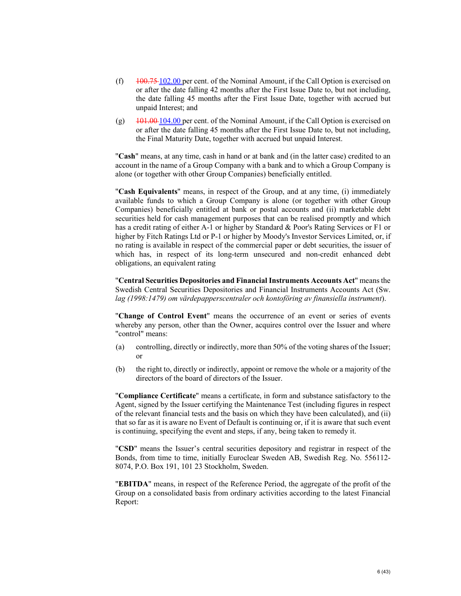- (f)  $\frac{100.75 \cdot 102.00}{1000 \cdot 1000}$  per cent. of the Nominal Amount, if the Call Option is exercised on or after the date falling 42 months after the First Issue Date to, but not including, the date falling 45 months after the First Issue Date, together with accrued but unpaid Interest; and
- (g)  $101.00 \cdot 101.00$  per cent. of the Nominal Amount, if the Call Option is exercised on or after the date falling 45 months after the First Issue Date to, but not including, the Final Maturity Date, together with accrued but unpaid Interest.

"**Cash**" means, at any time, cash in hand or at bank and (in the latter case) credited to an account in the name of a Group Company with a bank and to which a Group Company is alone (or together with other Group Companies) beneficially entitled.

"**Cash Equivalents**" means, in respect of the Group, and at any time, (i) immediately available funds to which a Group Company is alone (or together with other Group Companies) beneficially entitled at bank or postal accounts and (ii) marketable debt securities held for cash management purposes that can be realised promptly and which has a credit rating of either A-1 or higher by Standard & Poor's Rating Services or F1 or higher by Fitch Ratings Ltd or P-1 or higher by Moody's Investor Services Limited, or, if no rating is available in respect of the commercial paper or debt securities, the issuer of which has, in respect of its long-term unsecured and non-credit enhanced debt obligations, an equivalent rating

"**Central Securities Depositories and Financial Instruments Accounts Act**" means the Swedish Central Securities Depositories and Financial Instruments Accounts Act (Sw. *lag (1998:1479) om värdepapperscentraler och kontoföring av finansiella instrument*).

"**Change of Control Event**" means the occurrence of an event or series of events whereby any person, other than the Owner, acquires control over the Issuer and where "control" means:

- (a) controlling, directly or indirectly, more than 50% of the voting shares of the Issuer; or
- (b) the right to, directly or indirectly, appoint or remove the whole or a majority of the directors of the board of directors of the Issuer.

"**Compliance Certificate**" means a certificate, in form and substance satisfactory to the Agent, signed by the Issuer certifying the Maintenance Test (including figures in respect of the relevant financial tests and the basis on which they have been calculated), and (ii) that so far as it is aware no Event of Default is continuing or, if it is aware that such event is continuing, specifying the event and steps, if any, being taken to remedy it.

"**CSD**" means the Issuer's central securities depository and registrar in respect of the Bonds, from time to time, initially Euroclear Sweden AB, Swedish Reg. No. 556112- 8074, P.O. Box 191, 101 23 Stockholm, Sweden.

"**EBITDA**" means, in respect of the Reference Period, the aggregate of the profit of the Group on a consolidated basis from ordinary activities according to the latest Financial Report: